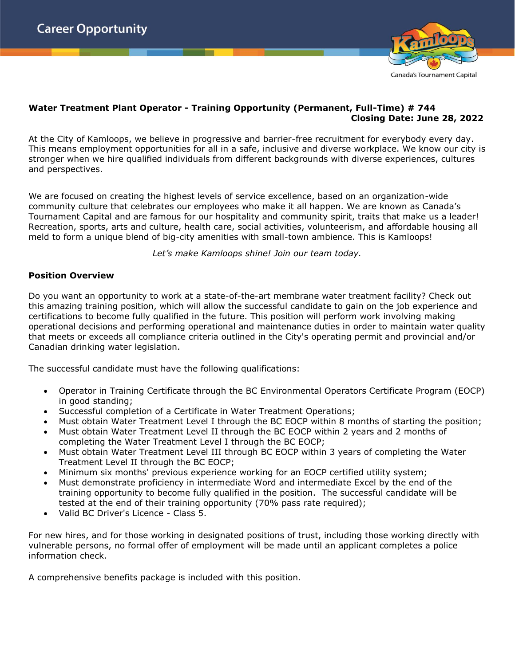

#### **Water Treatment Plant Operator - Training Opportunity (Permanent, Full-Time) # 744 Closing Date: June 28, 2022**

At the City of Kamloops, we believe in progressive and barrier-free recruitment for everybody every day. This means employment opportunities for all in a safe, inclusive and diverse workplace. We know our city is stronger when we hire qualified individuals from different backgrounds with diverse experiences, cultures and perspectives.

We are focused on creating the highest levels of service excellence, based on an organization-wide community culture that celebrates our employees who make it all happen. We are known as Canada's Tournament Capital and are famous for our hospitality and community spirit, traits that make us a leader! Recreation, sports, arts and culture, health care, social activities, volunteerism, and affordable housing all meld to form a unique blend of big-city amenities with small-town ambience. This is Kamloops!

*Let's make Kamloops shine! Join our team today.*

#### **Position Overview**

Do you want an opportunity to work at a state-of-the-art membrane water treatment facility? Check out this amazing training position, which will allow the successful candidate to gain on the job experience and certifications to become fully qualified in the future. This position will perform work involving making operational decisions and performing operational and maintenance duties in order to maintain water quality that meets or exceeds all compliance criteria outlined in the City's operating permit and provincial and/or Canadian drinking water legislation.

The successful candidate must have the following qualifications:

- Operator in Training Certificate through the BC Environmental Operators Certificate Program (EOCP) in good standing;
- Successful completion of a Certificate in Water Treatment Operations;
- Must obtain Water Treatment Level I through the BC EOCP within 8 months of starting the position;
- Must obtain Water Treatment Level II through the BC EOCP within 2 years and 2 months of completing the Water Treatment Level I through the BC EOCP;
- Must obtain Water Treatment Level III through BC EOCP within 3 years of completing the Water Treatment Level II through the BC EOCP;
- Minimum six months' previous experience working for an EOCP certified utility system;
- Must demonstrate proficiency in intermediate Word and intermediate Excel by the end of the training opportunity to become fully qualified in the position. The successful candidate will be tested at the end of their training opportunity (70% pass rate required);
- Valid BC Driver's Licence Class 5.

For new hires, and for those working in designated positions of trust, including those working directly with vulnerable persons, no formal offer of employment will be made until an applicant completes a police information check.

A comprehensive benefits package is included with this position.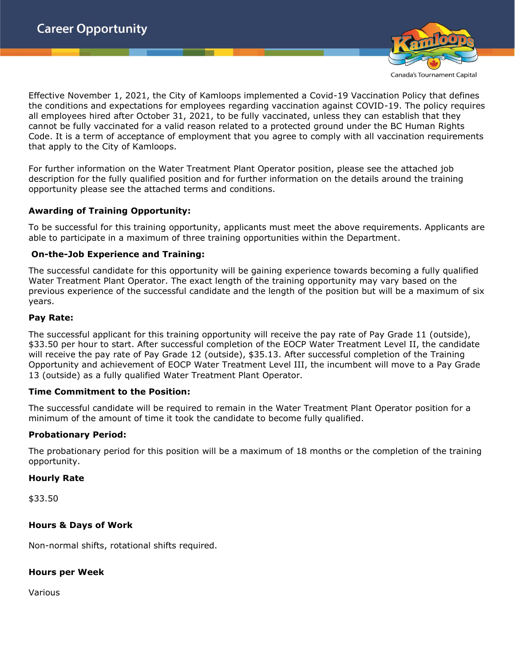

Effective November 1, 2021, the City of Kamloops implemented a Covid-19 Vaccination Policy that defines the conditions and expectations for employees regarding vaccination against COVID-19. The policy requires all employees hired after October 31, 2021, to be fully vaccinated, unless they can establish that they cannot be fully vaccinated for a valid reason related to a protected ground under the BC Human Rights Code. It is a term of acceptance of employment that you agree to comply with all vaccination requirements

that apply to the City of Kamloops.

For further information on the Water Treatment Plant Operator position, please see the attached job description for the fully qualified position and for further information on the details around the training opportunity please see the attached terms and conditions.

### **Awarding of Training Opportunity:**

To be successful for this training opportunity, applicants must meet the above requirements. Applicants are able to participate in a maximum of three training opportunities within the Department.

#### **On-the-Job Experience and Training:**

The successful candidate for this opportunity will be gaining experience towards becoming a fully qualified Water Treatment Plant Operator. The exact length of the training opportunity may vary based on the previous experience of the successful candidate and the length of the position but will be a maximum of six years.

#### **Pay Rate:**

The successful applicant for this training opportunity will receive the pay rate of Pay Grade 11 (outside), \$33.50 per hour to start. After successful completion of the EOCP Water Treatment Level II, the candidate will receive the pay rate of Pay Grade 12 (outside), \$35.13. After successful completion of the Training Opportunity and achievement of EOCP Water Treatment Level III, the incumbent will move to a Pay Grade 13 (outside) as a fully qualified Water Treatment Plant Operator.

#### **Time Commitment to the Position:**

The successful candidate will be required to remain in the Water Treatment Plant Operator position for a minimum of the amount of time it took the candidate to become fully qualified.

#### **Probationary Period:**

The probationary period for this position will be a maximum of 18 months or the completion of the training opportunity.

#### **Hourly Rate**

\$33.50

#### **Hours & Days of Work**

Non-normal shifts, rotational shifts required.

# **Hours per Week**

Various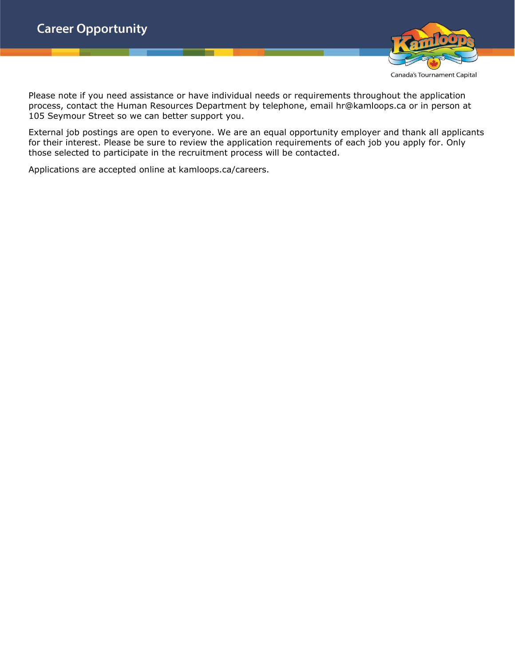

Please note if you need assistance or have individual needs or requirements throughout the application process, contact the Human Resources Department by telephone, email hr@kamloops.ca or in person at 105 Seymour Street so we can better support you.

External job postings are open to everyone. We are an equal opportunity employer and thank all applicants for their interest. Please be sure to review the application requirements of each job you apply for. Only those selected to participate in the recruitment process will be contacted.

Applications are accepted online at kamloops.ca/careers.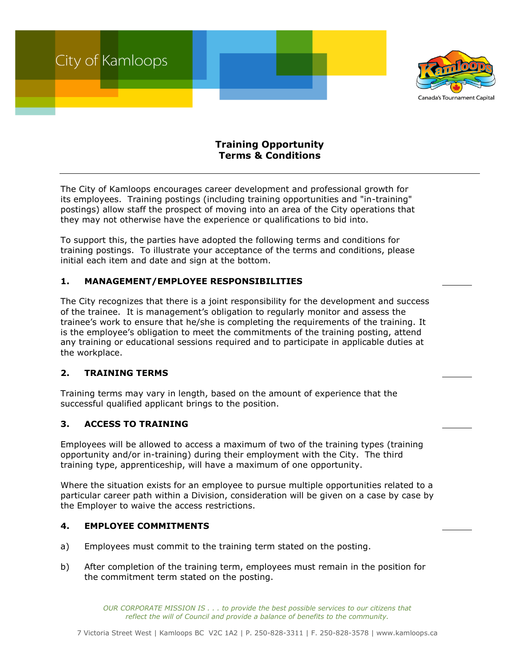

## **Training Opportunity Terms & Conditions**

The City of Kamloops encourages career development and professional growth for its employees. Training postings (including training opportunities and "in-training" postings) allow staff the prospect of moving into an area of the City operations that they may not otherwise have the experience or qualifications to bid into.

To support this, the parties have adopted the following terms and conditions for training postings. To illustrate your acceptance of the terms and conditions, please initial each item and date and sign at the bottom.

## **1. MANAGEMENT/EMPLOYEE RESPONSIBILITIES**

The City recognizes that there is a joint responsibility for the development and success of the trainee. It is management's obligation to regularly monitor and assess the trainee's work to ensure that he/she is completing the requirements of the training. It is the employee's obligation to meet the commitments of the training posting, attend any training or educational sessions required and to participate in applicable duties at the workplace.

#### **2. TRAINING TERMS**

Training terms may vary in length, based on the amount of experience that the successful qualified applicant brings to the position.

## **3. ACCESS TO TRAINING**

Employees will be allowed to access a maximum of two of the training types (training opportunity and/or in-training) during their employment with the City. The third training type, apprenticeship, will have a maximum of one opportunity.

Where the situation exists for an employee to pursue multiple opportunities related to a particular career path within a Division, consideration will be given on a case by case by the Employer to waive the access restrictions.

#### **4. EMPLOYEE COMMITMENTS**

- a) Employees must commit to the training term stated on the posting.
- b) After completion of the training term, employees must remain in the position for the commitment term stated on the posting.

*OUR CORPORATE MISSION IS . . . to provide the best possible services to our citizens that reflect the will of Council and provide a balance of benefits to the community.*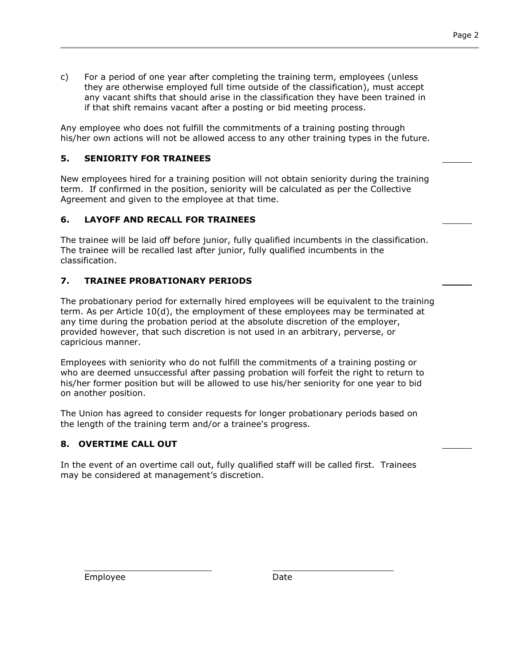- Page 2
- c) For a period of one year after completing the training term, employees (unless they are otherwise employed full time outside of the classification), must accept any vacant shifts that should arise in the classification they have been trained in if that shift remains vacant after a posting or bid meeting process.

Any employee who does not fulfill the commitments of a training posting through his/her own actions will not be allowed access to any other training types in the future.

## **5. SENIORITY FOR TRAINEES**

New employees hired for a training position will not obtain seniority during the training term. If confirmed in the position, seniority will be calculated as per the Collective Agreement and given to the employee at that time.

## **6. LAYOFF AND RECALL FOR TRAINEES**

The trainee will be laid off before junior, fully qualified incumbents in the classification. The trainee will be recalled last after junior, fully qualified incumbents in the classification.

## **7. TRAINEE PROBATIONARY PERIODS**

The probationary period for externally hired employees will be equivalent to the training term. As per Article 10(d), the employment of these employees may be terminated at any time during the probation period at the absolute discretion of the employer, provided however, that such discretion is not used in an arbitrary, perverse, or capricious manner.

Employees with seniority who do not fulfill the commitments of a training posting or who are deemed unsuccessful after passing probation will forfeit the right to return to his/her former position but will be allowed to use his/her seniority for one year to bid on another position.

The Union has agreed to consider requests for longer probationary periods based on the length of the training term and/or a trainee's progress.

# **8. OVERTIME CALL OUT**

In the event of an overtime call out, fully qualified staff will be called first. Trainees may be considered at management's discretion.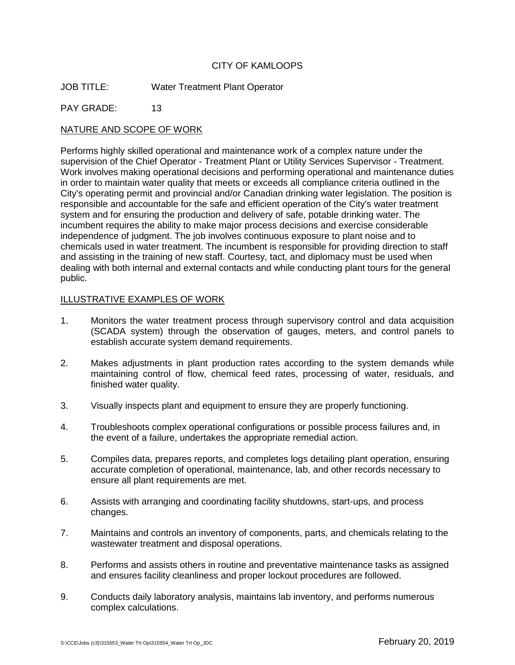### CITY OF KAMLOOPS

JOB TITLE: Water Treatment Plant Operator

PAY GRADE: 13

### NATURE AND SCOPE OF WORK

Performs highly skilled operational and maintenance work of a complex nature under the supervision of the Chief Operator - Treatment Plant or Utility Services Supervisor - Treatment. Work involves making operational decisions and performing operational and maintenance duties in order to maintain water quality that meets or exceeds all compliance criteria outlined in the City's operating permit and provincial and/or Canadian drinking water legislation. The position is responsible and accountable for the safe and efficient operation of the City's water treatment system and for ensuring the production and delivery of safe, potable drinking water. The incumbent requires the ability to make major process decisions and exercise considerable independence of judgment. The job involves continuous exposure to plant noise and to chemicals used in water treatment. The incumbent is responsible for providing direction to staff and assisting in the training of new staff. Courtesy, tact, and diplomacy must be used when dealing with both internal and external contacts and while conducting plant tours for the general public.

#### ILLUSTRATIVE EXAMPLES OF WORK

- 1. Monitors the water treatment process through supervisory control and data acquisition (SCADA system) through the observation of gauges, meters, and control panels to establish accurate system demand requirements.
- 2. Makes adjustments in plant production rates according to the system demands while maintaining control of flow, chemical feed rates, processing of water, residuals, and finished water quality.
- 3. Visually inspects plant and equipment to ensure they are properly functioning.
- 4. Troubleshoots complex operational configurations or possible process failures and, in the event of a failure, undertakes the appropriate remedial action.
- 5. Compiles data, prepares reports, and completes logs detailing plant operation, ensuring accurate completion of operational, maintenance, lab, and other records necessary to ensure all plant requirements are met.
- 6. Assists with arranging and coordinating facility shutdowns, start-ups, and process changes.
- 7. Maintains and controls an inventory of components, parts, and chemicals relating to the wastewater treatment and disposal operations.
- 8. Performs and assists others in routine and preventative maintenance tasks as assigned and ensures facility cleanliness and proper lockout procedures are followed.
- 9. Conducts daily laboratory analysis, maintains lab inventory, and performs numerous complex calculations.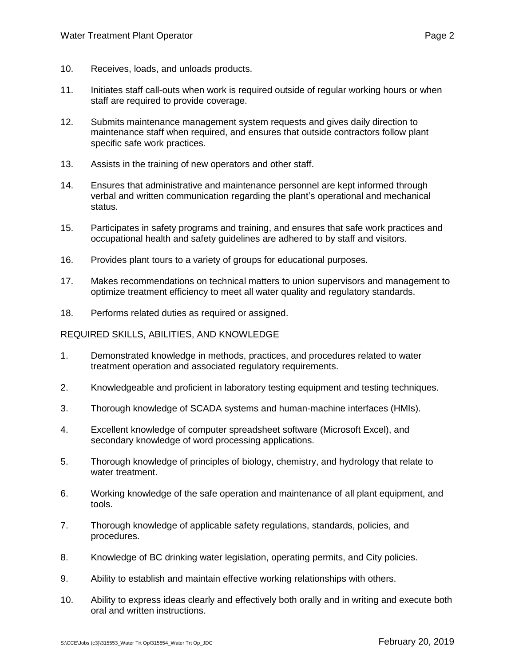- 11. Initiates staff call-outs when work is required outside of regular working hours or when staff are required to provide coverage.
- 12. Submits maintenance management system requests and gives daily direction to maintenance staff when required, and ensures that outside contractors follow plant specific safe work practices.
- 13. Assists in the training of new operators and other staff.
- 14. Ensures that administrative and maintenance personnel are kept informed through verbal and written communication regarding the plant's operational and mechanical status.
- 15. Participates in safety programs and training, and ensures that safe work practices and occupational health and safety guidelines are adhered to by staff and visitors.
- 16. Provides plant tours to a variety of groups for educational purposes.
- 17. Makes recommendations on technical matters to union supervisors and management to optimize treatment efficiency to meet all water quality and regulatory standards.
- 18. Performs related duties as required or assigned.

## REQUIRED SKILLS, ABILITIES, AND KNOWLEDGE

- 1. Demonstrated knowledge in methods, practices, and procedures related to water treatment operation and associated regulatory requirements.
- 2. Knowledgeable and proficient in laboratory testing equipment and testing techniques.
- 3. Thorough knowledge of SCADA systems and human-machine interfaces (HMIs).
- 4. Excellent knowledge of computer spreadsheet software (Microsoft Excel), and secondary knowledge of word processing applications.
- 5. Thorough knowledge of principles of biology, chemistry, and hydrology that relate to water treatment.
- 6. Working knowledge of the safe operation and maintenance of all plant equipment, and tools.
- 7. Thorough knowledge of applicable safety regulations, standards, policies, and procedures.
- 8. Knowledge of BC drinking water legislation, operating permits, and City policies.
- 9. Ability to establish and maintain effective working relationships with others.
- 10. Ability to express ideas clearly and effectively both orally and in writing and execute both oral and written instructions.